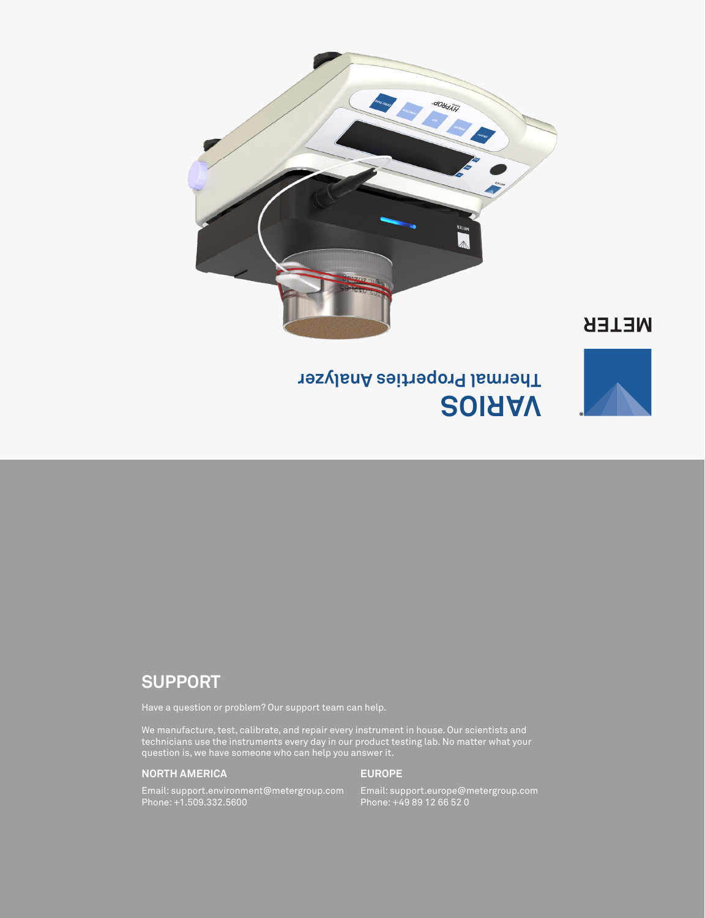

## **SUPPORT**

Have a question or problem? Our support team can help.

We manufacture, test, calibrate, and repair every instrument in house. Our scientists and technicians use the instruments every day in our product testing lab. No matter what your question is, we have someone who can help you answer it.

#### **NORTH AMERICA**

#### **EUROPE**

Email: support.environment@metergroup.com Phone: +1.509.332.5600

Email: support.europe@metergroup.com Phone: +49 89 12 66 52 0